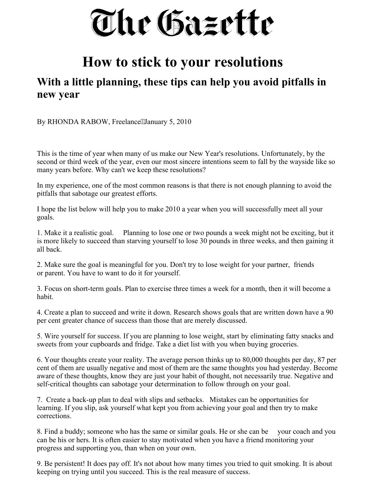The Gazette

## **How to stick to your resolutions**

## **With a little planning, these tips can help you avoid pitfalls in new year**

By RHONDA RABOW, Freelance" January 5, 2010

This is the time of year when many of us make our New Year's resolutions. Unfortunately, by the second or third week of the year, even our most sincere intentions seem to fall by the wayside like so many years before. Why can't we keep these resolutions?

In my experience, one of the most common reasons is that there is not enough planning to avoid the pitfalls that sabotage our greatest efforts.

I hope the list below will help you to make 2010 a year when you will successfully meet all your goals.

1. Make it a realistic goal. Planning to lose one or two pounds a week might not be exciting, but it is more likely to succeed than starving yourself to lose 30 pounds in three weeks, and then gaining it all back.

2. Make sure the goal is meaningful for you. Don't try to lose weight for your partner, friends or parent. You have to want to do it for yourself.

3. Focus on short-term goals. Plan to exercise three times a week for a month, then it will become a habit.

4. Create a plan to succeed and write it down. Research shows goals that are written down have a 90 per cent greater chance of success than those that are merely discussed.

5. Wire yourself for success. If you are planning to lose weight, start by eliminating fatty snacks and sweets from your cupboards and fridge. Take a diet list with you when buying groceries.

6. Your thoughts create your reality. The average person thinks up to 80,000 thoughts per day, 87 per cent of them are usually negative and most of them are the same thoughts you had yesterday. Become aware of these thoughts, know they are just your habit of thought, not necessarily true. Negative and self-critical thoughts can sabotage your determination to follow through on your goal.

7. Create a back-up plan to deal with slips and setbacks. Mistakes can be opportunities for learning. If you slip, ask yourself what kept you from achieving your goal and then try to make corrections.

8. Find a buddy; someone who has the same or similar goals. He or she can be your coach and you can be his or hers. It is often easier to stay motivated when you have a friend monitoring your progress and supporting you, than when on your own.

9. Be persistent! It does pay off. It's not about how many times you tried to quit smoking. It is about keeping on trying until you succeed. This is the real measure of success.